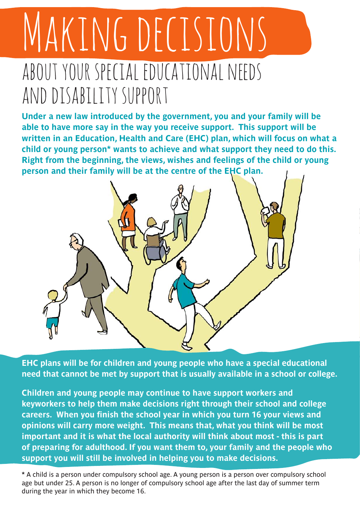## MAKING DECISIONS about your special educational needs and disability support

**Under a new law introduced by the government, you and your family will be able to have more say in the way you receive support. This support will be written in an Education, Health and Care (EHC) plan, which will focus on what a child or young person\* wants to achieve and what support they need to do this. Right from the beginning, the views, wishes and feelings of the child or young person and their family will be at the centre of the EHC plan.** 



**EHC plans will be for children and young people who have a special educational need that cannot be met by support that is usually available in a school or college.** 

**Children and young people may continue to have support workers and keyworkers to help them make decisions right through their school and college careers. When you finish the school year in which you turn 16 your views and opinions will carry more weight. This means that, what you think will be most important and it is what the local authority will think about most - this is part of preparing for adulthood. If you want them to, your family and the people who support you will still be involved in helping you to make decisions.** 

**\*** A child is a person under compulsory school age. A young person is a person over compulsory school age but under 25. A person is no longer of compulsory school age after the last day of summer term during the year in which they become 16.